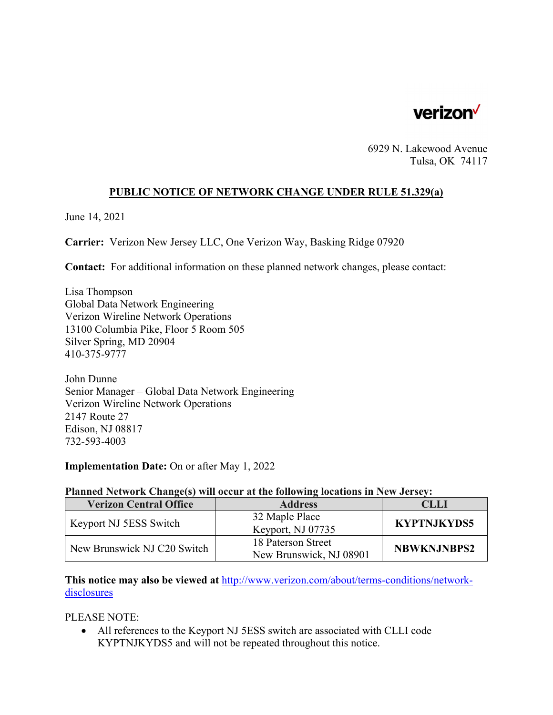

6929 N. Lakewood Avenue Tulsa, OK 74117

## **PUBLIC NOTICE OF NETWORK CHANGE UNDER RULE 51.329(a)**

June 14, 2021

**Carrier:** Verizon New Jersey LLC, One Verizon Way, Basking Ridge 07920

**Contact:** For additional information on these planned network changes, please contact:

Lisa Thompson Global Data Network Engineering Verizon Wireline Network Operations 13100 Columbia Pike, Floor 5 Room 505 Silver Spring, MD 20904 410-375-9777

John Dunne Senior Manager – Global Data Network Engineering Verizon Wireline Network Operations 2147 Route 27 Edison, NJ 08817 732-593-4003

**Implementation Date:** On or after May 1, 2022

## **Planned Network Change(s) will occur at the following locations in New Jersey:**

| <b>Verizon Central Office</b> | <b>Address</b>          | CLLI               |
|-------------------------------|-------------------------|--------------------|
| Keyport NJ 5ESS Switch        | 32 Maple Place          | <b>KYPTNJKYDS5</b> |
|                               | Keyport, NJ 07735       |                    |
| New Brunswick NJ C20 Switch   | 18 Paterson Street      | <b>NBWKNJNBPS2</b> |
|                               | New Brunswick, NJ 08901 |                    |

**This notice may also be viewed at** http://www.verizon.com/about/terms-conditions/networkdisclosures

PLEASE NOTE:

 All references to the Keyport NJ 5ESS switch are associated with CLLI code KYPTNJKYDS5 and will not be repeated throughout this notice.